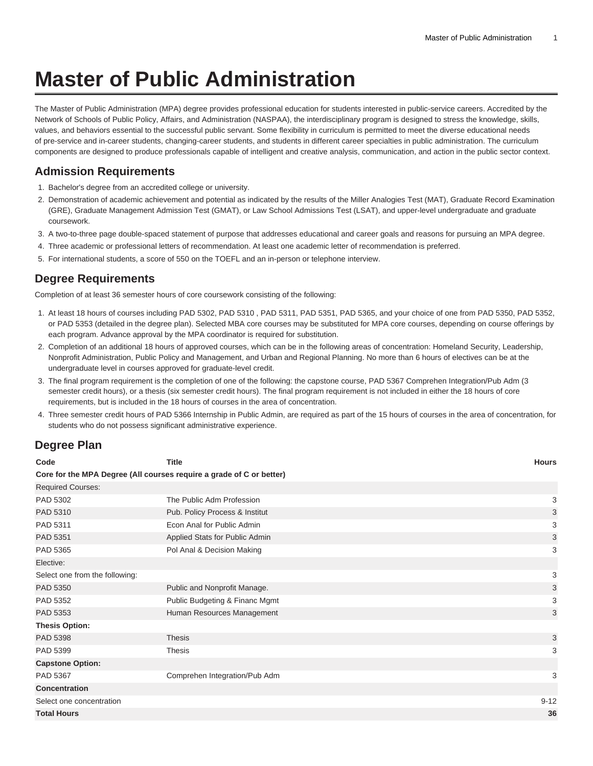# **Master of Public Administration**

The Master of Public Administration (MPA) degree provides professional education for students interested in public-service careers. Accredited by the Network of Schools of Public Policy, Affairs, and Administration (NASPAA), the interdisciplinary program is designed to stress the knowledge, skills, values, and behaviors essential to the successful public servant. Some flexibility in curriculum is permitted to meet the diverse educational needs of pre-service and in-career students, changing-career students, and students in different career specialties in public administration. The curriculum components are designed to produce professionals capable of intelligent and creative analysis, communication, and action in the public sector context.

## **Admission Requirements**

- 1. Bachelor's degree from an accredited college or university.
- 2. Demonstration of academic achievement and potential as indicated by the results of the Miller Analogies Test (MAT), Graduate Record Examination (GRE), Graduate Management Admission Test (GMAT), or Law School Admissions Test (LSAT), and upper-level undergraduate and graduate coursework.
- 3. A two-to-three page double-spaced statement of purpose that addresses educational and career goals and reasons for pursuing an MPA degree.
- 4. Three academic or professional letters of recommendation. At least one academic letter of recommendation is preferred.
- 5. For international students, a score of 550 on the TOEFL and an in-person or telephone interview.

## **Degree Requirements**

Completion of at least 36 semester hours of core coursework consisting of the following:

- 1. At least 18 hours of courses including PAD 5302, PAD 5310 , PAD 5311, PAD 5351, PAD 5365, and your choice of one from PAD 5350, PAD 5352, or PAD 5353 (detailed in the degree plan). Selected MBA core courses may be substituted for MPA core courses, depending on course offerings by each program. Advance approval by the MPA coordinator is required for substitution.
- 2. Completion of an additional 18 hours of approved courses, which can be in the following areas of concentration: Homeland Security, Leadership, Nonprofit Administration, Public Policy and Management, and Urban and Regional Planning. No more than 6 hours of electives can be at the undergraduate level in courses approved for graduate-level credit.
- 3. The final program requirement is the completion of one of the following: the capstone course, PAD 5367 Comprehen Integration/Pub Adm (3 semester credit hours), or a thesis (six semester credit hours). The final program requirement is not included in either the 18 hours of core requirements, but is included in the 18 hours of courses in the area of concentration.
- 4. Three semester credit hours of PAD 5366 Internship in Public Admin, are required as part of the 15 hours of courses in the area of concentration, for students who do not possess significant administrative experience.

## **Degree Plan**

| Code                           | <b>Title</b>                                                         | Hours    |
|--------------------------------|----------------------------------------------------------------------|----------|
|                                | Core for the MPA Degree (All courses require a grade of C or better) |          |
| <b>Required Courses:</b>       |                                                                      |          |
| PAD 5302                       | The Public Adm Profession                                            | 3        |
| PAD 5310                       | Pub. Policy Process & Institut                                       | 3        |
| PAD 5311                       | Econ Anal for Public Admin                                           | 3        |
| PAD 5351                       | Applied Stats for Public Admin                                       | 3        |
| PAD 5365                       | Pol Anal & Decision Making                                           | 3        |
| Elective:                      |                                                                      |          |
| Select one from the following: |                                                                      | 3        |
| PAD 5350                       | Public and Nonprofit Manage.                                         | 3        |
| PAD 5352                       | Public Budgeting & Financ Mgmt                                       | 3        |
| PAD 5353                       | Human Resources Management                                           | 3        |
| <b>Thesis Option:</b>          |                                                                      |          |
| PAD 5398                       | <b>Thesis</b>                                                        | 3        |
| PAD 5399                       | <b>Thesis</b>                                                        | 3        |
| <b>Capstone Option:</b>        |                                                                      |          |
| PAD 5367                       | Comprehen Integration/Pub Adm                                        | 3        |
| <b>Concentration</b>           |                                                                      |          |
| Select one concentration       |                                                                      | $9 - 12$ |
| <b>Total Hours</b>             |                                                                      | 36       |
|                                |                                                                      |          |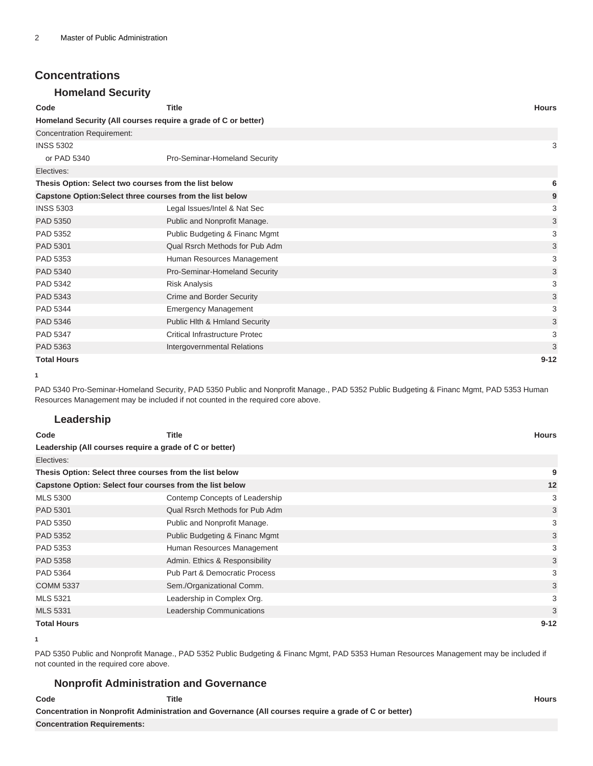## **Concentrations**

#### **Homeland Security**

| Code                                                      | <b>Title</b>                                                   | <b>Hours</b> |
|-----------------------------------------------------------|----------------------------------------------------------------|--------------|
|                                                           | Homeland Security (All courses require a grade of C or better) |              |
| <b>Concentration Requirement:</b>                         |                                                                |              |
| <b>INSS 5302</b>                                          |                                                                | 3            |
| or PAD 5340                                               | Pro-Seminar-Homeland Security                                  |              |
| Electives:                                                |                                                                |              |
| Thesis Option: Select two courses from the list below     |                                                                | 6            |
| Capstone Option: Select three courses from the list below |                                                                | 9            |
| <b>INSS 5303</b>                                          | Legal Issues/Intel & Nat Sec                                   | 3            |
| PAD 5350                                                  | Public and Nonprofit Manage.                                   | 3            |
| PAD 5352                                                  | Public Budgeting & Financ Mgmt                                 | 3            |
| PAD 5301                                                  | Qual Rsrch Methods for Pub Adm                                 | 3            |
| PAD 5353                                                  | Human Resources Management                                     | 3            |
| PAD 5340                                                  | Pro-Seminar-Homeland Security                                  | 3            |
| PAD 5342                                                  | <b>Risk Analysis</b>                                           | 3            |
| PAD 5343                                                  | <b>Crime and Border Security</b>                               | 3            |
| PAD 5344                                                  | <b>Emergency Management</b>                                    | 3            |
| PAD 5346                                                  | Public Hith & Hmland Security                                  | 3            |
| PAD 5347                                                  | <b>Critical Infrastructure Protec</b>                          | 3            |
| PAD 5363                                                  | Intergovernmental Relations                                    | 3            |
| <b>Total Hours</b>                                        |                                                                | $9 - 12$     |

**1**

PAD 5340 Pro-Seminar-Homeland Security, PAD 5350 Public and Nonprofit Manage., PAD 5352 Public Budgeting & Financ Mgmt, PAD 5353 Human Resources Management may be included if not counted in the required core above.

#### **Leadership**

| Code                                                     | Title                          | <b>Hours</b> |    |
|----------------------------------------------------------|--------------------------------|--------------|----|
| Leadership (All courses require a grade of C or better)  |                                |              |    |
| Electives:                                               |                                |              |    |
| Thesis Option: Select three courses from the list below  |                                |              | 9  |
| Capstone Option: Select four courses from the list below |                                |              | 12 |
| <b>MLS 5300</b>                                          | Contemp Concepts of Leadership |              | 3  |
| PAD 5301                                                 | Qual Rsrch Methods for Pub Adm |              | 3  |
| PAD 5350                                                 | Public and Nonprofit Manage.   |              | 3  |
| PAD 5352                                                 | Public Budgeting & Financ Mgmt |              | 3  |
| PAD 5353                                                 | Human Resources Management     |              | 3  |
| PAD 5358                                                 | Admin. Ethics & Responsibility |              | 3  |
| PAD 5364                                                 | Pub Part & Democratic Process  |              | 3  |
| <b>COMM 5337</b>                                         | Sem./Organizational Comm.      |              | 3  |
| <b>MLS 5321</b>                                          | Leadership in Complex Org.     |              | 3  |
| <b>MLS 5331</b>                                          | Leadership Communications      |              | 3  |
| <b>Total Hours</b>                                       |                                | $9 - 12$     |    |

**<sup>1</sup>**

PAD 5350 Public and Nonprofit Manage., PAD 5352 Public Budgeting & Financ Mgmt, PAD 5353 Human Resources Management may be included if not counted in the required core above.

#### **Nonprofit Administration and Governance**

| Code                               | <b>Title</b>                                                                                          | Hours |
|------------------------------------|-------------------------------------------------------------------------------------------------------|-------|
|                                    | Concentration in Nonprofit Administration and Governance (All courses require a grade of C or better) |       |
| <b>Concentration Requirements:</b> |                                                                                                       |       |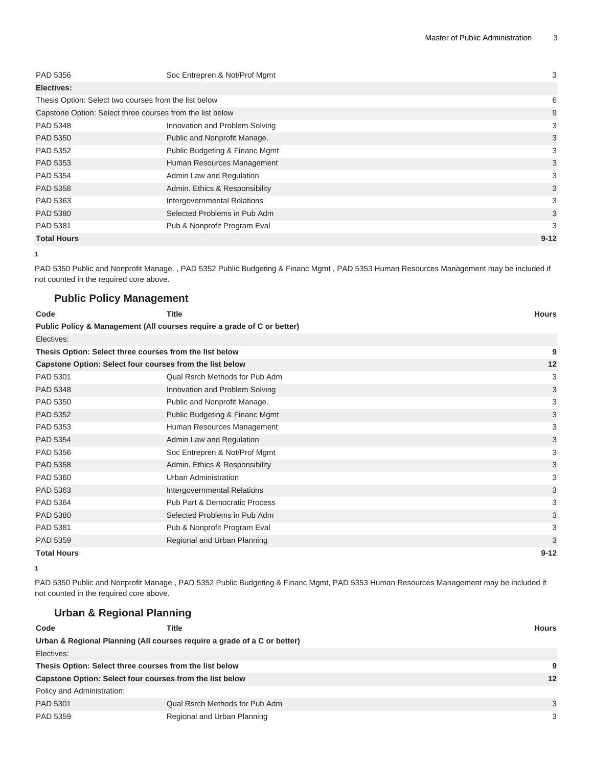| PAD 5356                                                  | Soc Entrepren & Not/Prof Mgmt  | 3        |
|-----------------------------------------------------------|--------------------------------|----------|
| Electives:                                                |                                |          |
| Thesis Option: Select two courses from the list below     |                                | 6        |
| Capstone Option: Select three courses from the list below |                                | 9        |
| PAD 5348                                                  | Innovation and Problem Solving | 3        |
| PAD 5350                                                  | Public and Nonprofit Manage.   | 3        |
| PAD 5352                                                  | Public Budgeting & Financ Mgmt | 3        |
| PAD 5353                                                  | Human Resources Management     | 3        |
| PAD 5354                                                  | Admin Law and Regulation       | 3        |
| PAD 5358                                                  | Admin. Ethics & Responsibility | 3        |
| PAD 5363                                                  | Intergovernmental Relations    | 3        |
| PAD 5380                                                  | Selected Problems in Pub Adm   | 3        |
| PAD 5381                                                  | Pub & Nonprofit Program Eval   | 3        |
| <b>Total Hours</b>                                        |                                | $9 - 12$ |

**<sup>1</sup>**

PAD 5350 Public and Nonprofit Manage. , PAD 5352 Public Budgeting & Financ Mgmt , PAD 5353 Human Resources Management may be included if not counted in the required core above.

### **Public Policy Management**

**Urban & Regional Planning**

| Code                                                     | <b>Title</b>                                                            | <b>Hours</b> |
|----------------------------------------------------------|-------------------------------------------------------------------------|--------------|
|                                                          | Public Policy & Management (All courses require a grade of C or better) |              |
| Electives:                                               |                                                                         |              |
| Thesis Option: Select three courses from the list below  |                                                                         | 9            |
| Capstone Option: Select four courses from the list below |                                                                         | 12           |
| PAD 5301                                                 | Qual Rsrch Methods for Pub Adm                                          | 3            |
| PAD 5348                                                 | Innovation and Problem Solving                                          | 3            |
| PAD 5350                                                 | Public and Nonprofit Manage.                                            | 3            |
| PAD 5352                                                 | Public Budgeting & Financ Mgmt                                          | 3            |
| PAD 5353                                                 | Human Resources Management                                              | 3            |
| PAD 5354                                                 | Admin Law and Regulation                                                | 3            |
| PAD 5356                                                 | Soc Entrepren & Not/Prof Mgmt                                           | 3            |
| PAD 5358                                                 | Admin. Ethics & Responsibility                                          | 3            |
| PAD 5360                                                 | <b>Urban Administration</b>                                             | 3            |
| PAD 5363                                                 | Intergovernmental Relations                                             | 3            |
| PAD 5364                                                 | <b>Pub Part &amp; Democratic Process</b>                                | 3            |
| PAD 5380                                                 | Selected Problems in Pub Adm                                            | 3            |
| PAD 5381                                                 | Pub & Nonprofit Program Eval                                            | 3            |
| PAD 5359                                                 | Regional and Urban Planning                                             | 3            |
| <b>Total Hours</b>                                       |                                                                         | $9 - 12$     |

**<sup>1</sup>**

PAD 5350 Public and Nonprofit Manage., PAD 5352 Public Budgeting & Financ Mgmt, PAD 5353 Human Resources Management may be included if not counted in the required core above.

| Code                                                     | Title                                                                    |                                | Hours |
|----------------------------------------------------------|--------------------------------------------------------------------------|--------------------------------|-------|
|                                                          | Urban & Regional Planning (All courses require a grade of a C or better) |                                |       |
| Electives:                                               |                                                                          |                                |       |
| Thesis Option: Select three courses from the list below  |                                                                          | 9                              |       |
| Capstone Option: Select four courses from the list below |                                                                          | 12                             |       |
| Policy and Administration:                               |                                                                          |                                |       |
| PAD 5301                                                 |                                                                          | Qual Rsrch Methods for Pub Adm | 3     |
| PAD 5359                                                 | Regional and Urban Planning                                              |                                | 3     |
|                                                          |                                                                          |                                |       |